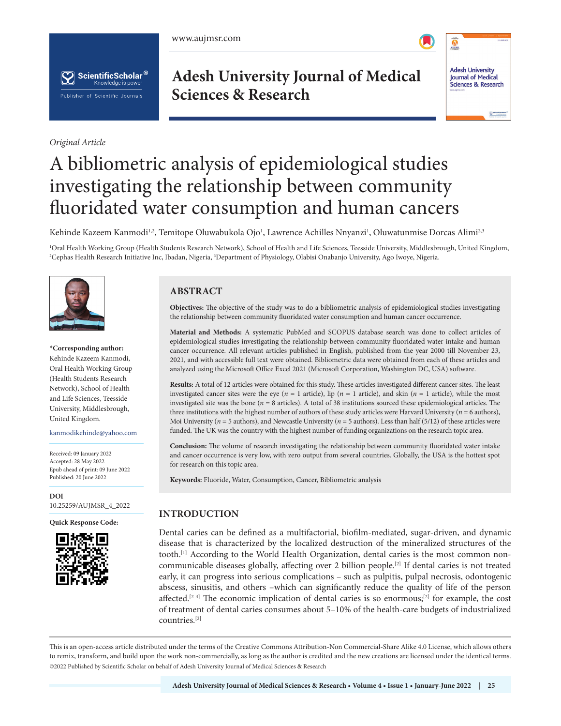www.aujmsr.com





*Original Article*

**Adesh University Journal of Medical Sciences & Research**



# A bibliometric analysis of epidemiological studies investigating the relationship between community fluoridated water consumption and human cancers

Kehinde Kazeem Kanmodi<sup>1,2</sup>, Temitope Oluwabukola Ojo<sup>1</sup>, Lawrence Achilles Nnyanzi<sup>1</sup>, Oluwatunmise Dorcas Alimi<sup>2,3</sup>

1 Oral Health Working Group (Health Students Research Network), School of Health and Life Sciences, Teesside University, Middlesbrough, United Kingdom, 2 Cephas Health Research Initiative Inc, Ibadan, Nigeria, 3 Department of Physiology, Olabisi Onabanjo University, Ago Iwoye, Nigeria.



**\*Corresponding author:**  Kehinde Kazeem Kanmodi, Oral Health Working Group (Health Students Research Network), School of Health and Life Sciences, Teesside University, Middlesbrough, United Kingdom.

kanmodikehinde@yahoo.com

Received: 09 January 2022 Accepted: 28 May 2022 Epub ahead of print: 09 June 2022 Published: 20 June 2022

**DOI** [10.25259/AUJMSR\\_4\\_2022](https://dx.doi.org/10.25259/AUJMSR_4_2022)

**Quick Response Code:**



# **ABSTRACT**

**Objectives:** The objective of the study was to do a bibliometric analysis of epidemiological studies investigating the relationship between community fluoridated water consumption and human cancer occurrence.

**Material and Methods:** A systematic PubMed and SCOPUS database search was done to collect articles of epidemiological studies investigating the relationship between community fluoridated water intake and human cancer occurrence. All relevant articles published in English, published from the year 2000 till November 23, 2021, and with accessible full text were obtained. Bibliometric data were obtained from each of these articles and analyzed using the Microsoft Office Excel 2021 (Microsoft Corporation, Washington DC, USA) software.

**Results:** A total of 12 articles were obtained for this study. These articles investigated different cancer sites. The least investigated cancer sites were the eye (*n* = 1 article), lip (*n* = 1 article), and skin (*n* = 1 article), while the most investigated site was the bone (*n* = 8 articles). A total of 38 institutions sourced these epidemiological articles. The three institutions with the highest number of authors of these study articles were Harvard University (*n* = 6 authors), Moi University ( $n = 5$  authors), and Newcastle University ( $n = 5$  authors). Less than half (5/12) of these articles were funded. The UK was the country with the highest number of funding organizations on the research topic area.

**Conclusion:** The volume of research investigating the relationship between community fluoridated water intake and cancer occurrence is very low, with zero output from several countries. Globally, the USA is the hottest spot for research on this topic area.

**Keywords:** Fluoride, Water, Consumption, Cancer, Bibliometric analysis

# **INTRODUCTION**

Dental caries can be defined as a multifactorial, biofilm-mediated, sugar-driven, and dynamic disease that is characterized by the localized destruction of the mineralized structures of the tooth.<sup>[1]</sup> According to the World Health Organization, dental caries is the most common noncommunicable diseases globally, affecting over 2 billion people.[2] If dental caries is not treated early, it can progress into serious complications – such as pulpitis, pulpal necrosis, odontogenic abscess, sinusitis, and others –which can significantly reduce the quality of life of the person affected.<sup>[2-4]</sup> The economic implication of dental caries is so enormous;<sup>[2]</sup> for example, the cost of treatment of dental caries consumes about 5–10% of the health-care budgets of industrialized countries.[2]

This is an open-access article distributed under the terms of the Creative Commons Attribution-Non Commercial-Share Alike 4.0 License, which allows others to remix, transform, and build upon the work non-commercially, as long as the author is credited and the new creations are licensed under the identical terms. ©2022 Published by Scientific Scholar on behalf of Adesh University Journal of Medical Sciences & Research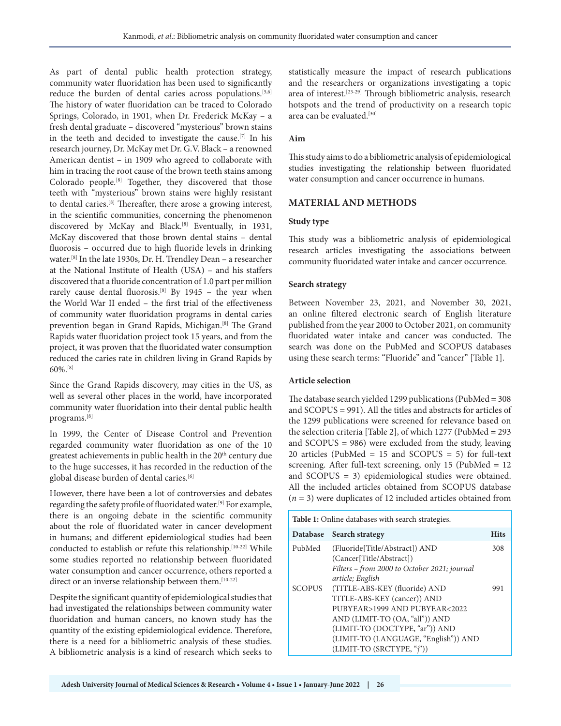As part of dental public health protection strategy, community water fluoridation has been used to significantly reduce the burden of dental caries across populations.<sup>[5,6]</sup> The history of water fluoridation can be traced to Colorado Springs, Colorado, in 1901, when Dr. Frederick McKay – a fresh dental graduate – discovered "mysterious" brown stains in the teeth and decided to investigate the cause.[7] In his research journey, Dr. McKay met Dr. G.V. Black – a renowned American dentist – in 1909 who agreed to collaborate with him in tracing the root cause of the brown teeth stains among Colorado people.<sup>[8]</sup> Together, they discovered that those teeth with "mysterious" brown stains were highly resistant to dental caries.[8] Thereafter, there arose a growing interest, in the scientific communities, concerning the phenomenon discovered by McKay and Black.<sup>[8]</sup> Eventually, in 1931, McKay discovered that those brown dental stains – dental fluorosis – occurred due to high fluoride levels in drinking water.[8] In the late 1930s, Dr. H. Trendley Dean – a researcher at the National Institute of Health (USA) – and his staffers discovered that a fluoride concentration of 1.0 part per million rarely cause dental fluorosis.<sup>[8]</sup> By 1945 - the year when the World War II ended – the first trial of the effectiveness of community water fluoridation programs in dental caries prevention began in Grand Rapids, Michigan.<sup>[8]</sup> The Grand Rapids water fluoridation project took 15 years, and from the project, it was proven that the fluoridated water consumption reduced the caries rate in children living in Grand Rapids by 60%.[8]

Since the Grand Rapids discovery, may cities in the US, as well as several other places in the world, have incorporated community water fluoridation into their dental public health programs.[8]

In 1999, the Center of Disease Control and Prevention regarded community water fluoridation as one of the 10 greatest achievements in public health in the 20<sup>th</sup> century due to the huge successes, it has recorded in the reduction of the global disease burden of dental caries.<sup>[6]</sup>

However, there have been a lot of controversies and debates regarding the safety profile of fluoridated water.[9] For example, there is an ongoing debate in the scientific community about the role of fluoridated water in cancer development in humans; and different epidemiological studies had been conducted to establish or refute this relationship.[10-22] While some studies reported no relationship between fluoridated water consumption and cancer occurrence, others reported a direct or an inverse relationship between them.<sup>[10-22]</sup>

Despite the significant quantity of epidemiological studies that had investigated the relationships between community water fluoridation and human cancers, no known study has the quantity of the existing epidemiological evidence. Therefore, there is a need for a bibliometric analysis of these studies. A bibliometric analysis is a kind of research which seeks to statistically measure the impact of research publications and the researchers or organizations investigating a topic area of interest.[23-29] Through bibliometric analysis, research hotspots and the trend of productivity on a research topic area can be evaluated.<sup>[30]</sup>

# **Aim**

This study aims to do a bibliometric analysis of epidemiological studies investigating the relationship between fluoridated water consumption and cancer occurrence in humans.

# **MATERIAL AND METHODS**

#### **Study type**

This study was a bibliometric analysis of epidemiological research articles investigating the associations between community fluoridated water intake and cancer occurrence.

#### **Search strategy**

Between November 23, 2021, and November 30, 2021, an online filtered electronic search of English literature published from the year 2000 to October 2021, on community fluoridated water intake and cancer was conducted. The search was done on the PubMed and SCOPUS databases using these search terms: "Fluoride" and "cancer" [Table 1].

#### **Article selection**

The database search yielded 1299 publications (PubMed = 308 and SCOPUS = 991). All the titles and abstracts for articles of the 1299 publications were screened for relevance based on the selection criteria [Table 2], of which 1277 (PubMed = 293 and SCOPUS = 986) were excluded from the study, leaving 20 articles (PubMed = 15 and SCOPUS = 5) for full-text screening. After full-text screening, only 15 (PubMed = 12 and SCOPUS = 3) epidemiological studies were obtained. All the included articles obtained from SCOPUS database (*n* = 3) were duplicates of 12 included articles obtained from

| <b>Table 1:</b> Online databases with search strategies. |                                                                                                                                                                                                                                        |             |  |
|----------------------------------------------------------|----------------------------------------------------------------------------------------------------------------------------------------------------------------------------------------------------------------------------------------|-------------|--|
| Database                                                 | Search strategy                                                                                                                                                                                                                        | <b>Hits</b> |  |
| PubMed                                                   | (Fluoride[Title/Abstract]) AND<br>(Cancer[Title/Abstract])<br>Filters – from 2000 to October 2021; journal<br>article; English                                                                                                         | 308         |  |
| <b>SCOPUS</b>                                            | (TITLE-ABS-KEY (fluoride) AND<br>TITLE-ABS-KEY (cancer)) AND<br>PUBYEAR>1999 AND PUBYEAR<2022<br>AND (LIMIT-TO (OA, "all")) AND<br>(LIMIT-TO (DOCTYPE, "ar")) AND<br>(LIMIT-TO (LANGUAGE, "English")) AND<br>(LIMIT-TO (SRCTYPE, "j")) | 991         |  |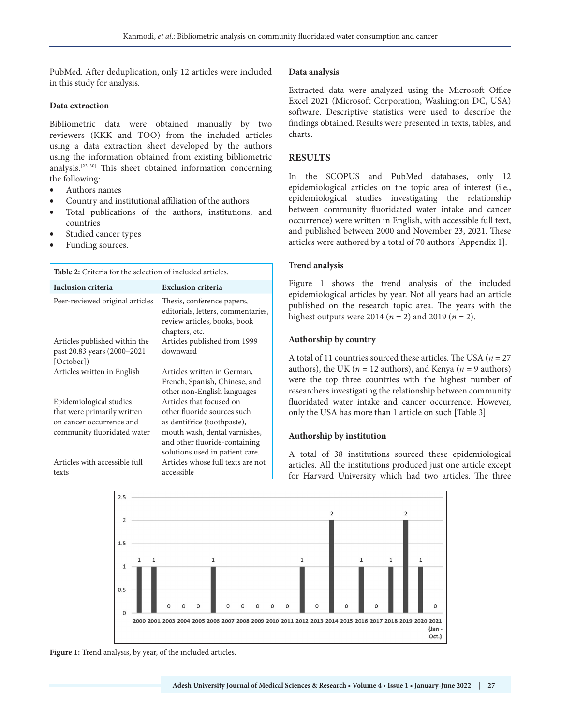PubMed. After deduplication, only 12 articles were included in this study for analysis.

# **Data extraction**

Bibliometric data were obtained manually by two reviewers (KKK and TOO) from the included articles using a data extraction sheet developed by the authors using the information obtained from existing bibliometric analysis.[23-30] This sheet obtained information concerning the following:

- Authors names
- Country and institutional affiliation of the authors
- Total publications of the authors, institutions, and countries
- Studied cancer types
- Funding sources.

#### **Table 2:** Criteria for the selection of included articles. **Inclusion criteria Exclusion criteria** Peer-reviewed original articles Thesis, conference papers, editorials, letters, commentaries, review articles, books, book chapters, etc. Articles published within the past 20.83 years (2000–2021 [October]) Articles published from 1999 downward Articles written in English Articles written in German, French, Spanish, Chinese, and other non-English languages Epidemiological studies Articles that focused on other fluoride sources such

as dentifrice (toothpaste), mouth wash, dental varnishes, and other fluoride-containing solutions used in patient care.

accessible

Articles whose full texts are not

that were primarily written on cancer occurrence and community fluoridated water

Articles with accessible full texts

# **Data analysis**

Extracted data were analyzed using the Microsoft Office Excel 2021 (Microsoft Corporation, Washington DC, USA) software. Descriptive statistics were used to describe the findings obtained. Results were presented in texts, tables, and charts.

# **RESULTS**

In the SCOPUS and PubMed databases, only 12 epidemiological articles on the topic area of interest (i.e., epidemiological studies investigating the relationship between community fluoridated water intake and cancer occurrence) were written in English, with accessible full text, and published between 2000 and November 23, 2021. These articles were authored by a total of 70 authors [Appendix 1].

# **Trend analysis**

Figure 1 shows the trend analysis of the included epidemiological articles by year. Not all years had an article published on the research topic area. The years with the highest outputs were 2014 (*n* = 2) and 2019 (*n* = 2).

### **Authorship by country**

A total of 11 countries sourced these articles. The USA (*n* = 27 authors), the UK ( $n = 12$  authors), and Kenya ( $n = 9$  authors) were the top three countries with the highest number of researchers investigating the relationship between community fluoridated water intake and cancer occurrence. However, only the USA has more than 1 article on such [Table 3].

# **Authorship by institution**

A total of 38 institutions sourced these epidemiological articles. All the institutions produced just one article except for Harvard University which had two articles. The three



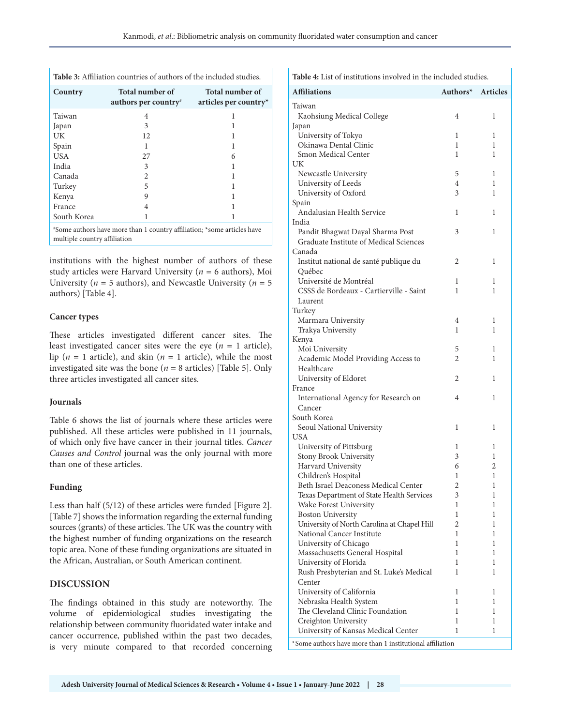| Country                                                                 | <b>Total number of</b><br>authors per country | Total number of<br>articles per country* |
|-------------------------------------------------------------------------|-----------------------------------------------|------------------------------------------|
| Taiwan                                                                  | 4                                             |                                          |
| Japan                                                                   | 3                                             |                                          |
| UK                                                                      | 12                                            |                                          |
| Spain                                                                   | 1                                             |                                          |
| <b>USA</b>                                                              | 27                                            | 6                                        |
| India                                                                   | 3                                             |                                          |
| Canada                                                                  | 2                                             |                                          |
| Turkey                                                                  | 5                                             |                                          |
| Kenya                                                                   | 9                                             |                                          |
| France                                                                  | 4                                             |                                          |
| South Korea                                                             |                                               |                                          |
| *Some authors have more than 1 country affiliation: *some articles have |                                               |                                          |

Some authors have more than 1 country affiliation; \*some articles have multiple country affiliation

institutions with the highest number of authors of these study articles were Harvard University (*n* = 6 authors), Moi University ( $n = 5$  authors), and Newcastle University ( $n = 5$ authors) [Table 4].

### **Cancer types**

These articles investigated different cancer sites. The least investigated cancer sites were the eye  $(n = 1 \text{ article})$ , lip ( $n = 1$  article), and skin ( $n = 1$  article), while the most investigated site was the bone ( $n = 8$  articles) [Table 5]. Only three articles investigated all cancer sites.

#### **Journals**

Table 6 shows the list of journals where these articles were published. All these articles were published in 11 journals, of which only five have cancer in their journal titles. *Cancer Causes and Control* journal was the only journal with more than one of these articles.

# **Funding**

Less than half (5/12) of these articles were funded [Figure 2]. [Table 7] shows the information regarding the external funding sources (grants) of these articles. The UK was the country with the highest number of funding organizations on the research topic area. None of these funding organizations are situated in the African, Australian, or South American continent.

# **DISCUSSION**

The findings obtained in this study are noteworthy. The volume of epidemiological studies investigating the relationship between community fluoridated water intake and cancer occurrence, published within the past two decades, is very minute compared to that recorded concerning

| Table 4: List of institutions involved in the included studies.                   |                |                 |  |
|-----------------------------------------------------------------------------------|----------------|-----------------|--|
| <b>Affiliations</b>                                                               | Authors*       | <b>Articles</b> |  |
| Taiwan                                                                            |                |                 |  |
| Kaohsiung Medical College                                                         | 4              | 1               |  |
| Japan                                                                             |                |                 |  |
| University of Tokyo                                                               | 1              | 1               |  |
| Okinawa Dental Clinic                                                             | 1              | 1               |  |
| Smon Medical Center                                                               | 1              | 1               |  |
| UK                                                                                |                |                 |  |
| Newcastle University                                                              | 5              | 1               |  |
| University of Leeds                                                               | 4              | 1               |  |
| University of Oxford                                                              | 3              | 1               |  |
| Spain                                                                             |                |                 |  |
| Andalusian Health Service                                                         | 1              | 1               |  |
| India                                                                             |                |                 |  |
| Pandit Bhagwat Dayal Sharma Post                                                  | 3              | 1               |  |
| Graduate Institute of Medical Sciences                                            |                |                 |  |
| Canada                                                                            |                |                 |  |
| Institut national de santé publique du                                            | 2              | 1               |  |
| Québec                                                                            |                |                 |  |
| Université de Montréal                                                            | 1              | 1               |  |
| CSSS de Bordeaux - Cartierville - Saint                                           | 1              | 1               |  |
| Laurent                                                                           |                |                 |  |
| Turkey                                                                            |                |                 |  |
| Marmara University                                                                | 4              | 1               |  |
| Trakya University                                                                 | 1              | 1               |  |
| Kenya                                                                             |                |                 |  |
| Moi University                                                                    | 5              | 1               |  |
| Academic Model Providing Access to                                                | 2              | 1               |  |
| Healthcare                                                                        |                |                 |  |
| University of Eldoret                                                             | 2              | 1               |  |
| France                                                                            |                |                 |  |
| International Agency for Research on                                              | 4              | 1               |  |
| Cancer                                                                            |                |                 |  |
| South Korea                                                                       |                |                 |  |
| Seoul National University                                                         | 1              | 1               |  |
| USA                                                                               |                |                 |  |
| University of Pittsburg                                                           | 1              | 1               |  |
| Stony Brook University                                                            | 3              | 1               |  |
| Harvard University                                                                | 6              | 2               |  |
| Children's Hospital                                                               | 1              | 1               |  |
| Beth Israel Deaconess Medical Center<br>Texas Department of State Health Services | $\overline{c}$ | $\mathbf 1$     |  |
| Wake Forest University                                                            | 3<br>1         | 1<br>1          |  |
| <b>Boston University</b>                                                          | 1              | 1               |  |
| University of North Carolina at Chapel Hill                                       | 2              | 1               |  |
| National Cancer Institute                                                         | 1              | 1               |  |
| University of Chicago                                                             | 1              | 1               |  |
| Massachusetts General Hospital                                                    | 1              | 1               |  |
| University of Florida                                                             | 1              | 1               |  |
| Rush Presbyterian and St. Luke's Medical                                          | 1              | 1               |  |
| Center                                                                            |                |                 |  |
| University of California                                                          | 1              | 1               |  |
| Nebraska Health System                                                            | 1              | 1               |  |
| The Cleveland Clinic Foundation                                                   | 1              | 1               |  |
| Creighton University                                                              | 1              | 1               |  |
| University of Kansas Medical Center                                               | 1              | 1               |  |
| *Some authors have more than 1 institutional affiliation                          |                |                 |  |
|                                                                                   |                |                 |  |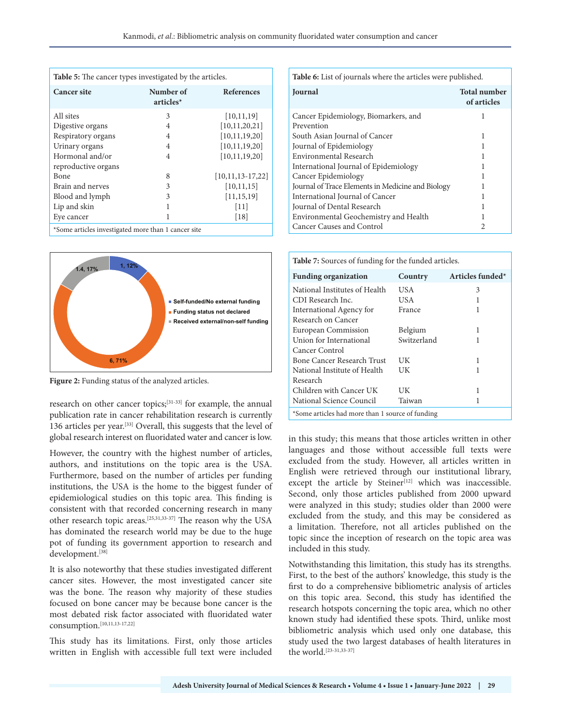| <b>Table 5:</b> The cancer types investigated by the articles.       |                        |                    |  |
|----------------------------------------------------------------------|------------------------|--------------------|--|
| <b>Cancer site</b>                                                   | Number of<br>articles* | <b>References</b>  |  |
| All sites                                                            | 3                      | [10, 11, 19]       |  |
| Digestive organs                                                     | 4                      | [10, 11, 20, 21]   |  |
| Respiratory organs                                                   | 4                      | [10, 11, 19, 20]   |  |
| Urinary organs                                                       | 4                      | [10, 11, 19, 20]   |  |
| Hormonal and/or                                                      | 4                      | [10, 11, 19, 20]   |  |
| reproductive organs                                                  |                        |                    |  |
| Bone                                                                 | 8                      | $[10,11,13-17,22]$ |  |
| Brain and nerves                                                     | 3                      | [10, 11, 15]       |  |
| Blood and lymph                                                      | 3                      | [11, 15, 19]       |  |
| Lip and skin                                                         |                        | $[11]$             |  |
| Eye cancer                                                           |                        | $[18]$             |  |
| $\cdots$ . The second contract $\cdots$ of $\cdots$<br>$\sim$ $\sim$ | $\sim$                 |                    |  |

\*Some articles investigated more than 1 cancer site



Figure 2: Funding status of the analyzed articles.

research on other cancer topics;[31-33] for example, the annual publication rate in cancer rehabilitation research is currently 136 articles per year.[33] Overall, this suggests that the level of global research interest on fluoridated water and cancer is low.

However, the country with the highest number of articles, authors, and institutions on the topic area is the USA. Furthermore, based on the number of articles per funding institutions, the USA is the home to the biggest funder of epidemiological studies on this topic area. This finding is consistent with that recorded concerning research in many other research topic areas.[25,31,33-37] The reason why the USA has dominated the research world may be due to the huge pot of funding its government apportion to research and development.[38]

It is also noteworthy that these studies investigated different cancer sites. However, the most investigated cancer site was the bone. The reason why majority of these studies focused on bone cancer may be because bone cancer is the most debated risk factor associated with fluoridated water consumption.[10,11,13-17,22]

This study has its limitations. First, only those articles written in English with accessible full text were included **Table 6:** List of journals where the articles were published.

| <b>Journal</b>                                    | <b>Total number</b><br>of articles |
|---------------------------------------------------|------------------------------------|
| Cancer Epidemiology, Biomarkers, and              |                                    |
| Prevention                                        |                                    |
| South Asian Journal of Cancer                     |                                    |
| Journal of Epidemiology                           |                                    |
| Environmental Research                            |                                    |
| International Journal of Epidemiology             |                                    |
| Cancer Epidemiology                               |                                    |
| Journal of Trace Elements in Medicine and Biology |                                    |
| International Journal of Cancer                   |                                    |
| Journal of Dental Research                        |                                    |
| Environmental Geochemistry and Health             |                                    |
| Cancer Causes and Control                         |                                    |

| <b>Table 7:</b> Sources of funding for the funded articles. |             |                  |  |
|-------------------------------------------------------------|-------------|------------------|--|
| <b>Funding organization</b>                                 | Country     | Articles funded* |  |
| National Institutes of Health                               | USA         | 3                |  |
| CDI Research Inc.                                           | US A        | 1                |  |
| International Agency for                                    | France      | 1                |  |
| Research on Cancer                                          |             |                  |  |
| European Commission                                         | Belgium     | 1                |  |
| Union for International                                     | Switzerland |                  |  |
| Cancer Control                                              |             |                  |  |
| Bone Cancer Research Trust                                  | UK          | 1                |  |
| National Institute of Health                                | UК          |                  |  |
| Research                                                    |             |                  |  |
| Children with Cancer UK                                     | UK          | 1                |  |
| National Science Council                                    | Taiwan      | 1                |  |
| *Some articles had more than 1 source of funding            |             |                  |  |

in this study; this means that those articles written in other languages and those without accessible full texts were excluded from the study. However, all articles written in English were retrieved through our institutional library, except the article by Steiner<sup>[12]</sup> which was inaccessible. Second, only those articles published from 2000 upward were analyzed in this study; studies older than 2000 were excluded from the study, and this may be considered as a limitation. Therefore, not all articles published on the topic since the inception of research on the topic area was included in this study.

Notwithstanding this limitation, this study has its strengths. First, to the best of the authors' knowledge, this study is the first to do a comprehensive bibliometric analysis of articles on this topic area. Second, this study has identified the research hotspots concerning the topic area, which no other known study had identified these spots. Third, unlike most bibliometric analysis which used only one database, this study used the two largest databases of health literatures in the world.[23-31,33-37]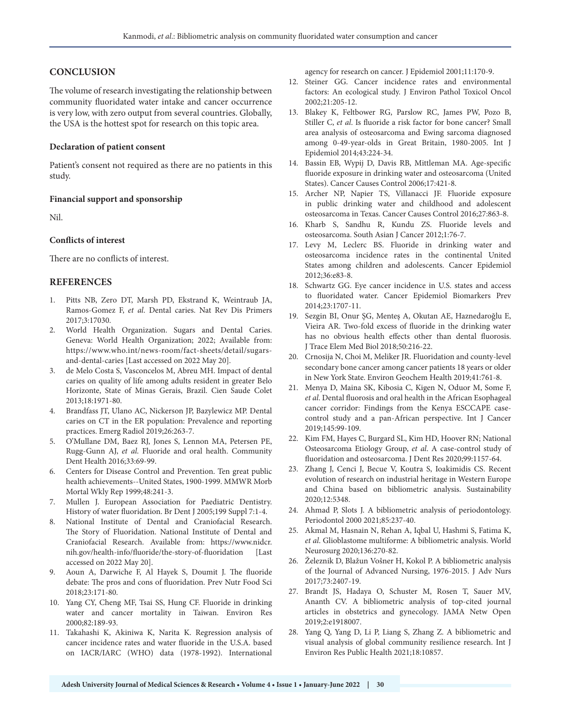# **CONCLUSION**

The volume of research investigating the relationship between community fluoridated water intake and cancer occurrence is very low, with zero output from several countries. Globally, the USA is the hottest spot for research on this topic area.

#### **Declaration of patient consent**

Patient's consent not required as there are no patients in this study.

#### **Financial support and sponsorship**

Nil.

#### **Conflicts of interest**

There are no conflicts of interest.

# **REFERENCES**

- 1. Pitts NB, Zero DT, Marsh PD, Ekstrand K, Weintraub JA, Ramos-Gomez F, *et al*. Dental caries. Nat Rev Dis Primers 2017;3:17030.
- 2. World Health Organization. Sugars and Dental Caries. Geneva: World Health Organization; 2022; Available from: https://www.who.int/news-room/fact-sheets/detail/sugarsand-dental-caries [Last accessed on 2022 May 20].
- 3. de Melo Costa S, Vasconcelos M, Abreu MH. Impact of dental caries on quality of life among adults resident in greater Belo Horizonte, State of Minas Gerais, Brazil. Cien Saude Colet 2013;18:1971-80.
- 4. Brandfass JT, Ulano AC, Nickerson JP, Bazylewicz MP. Dental caries on CT in the ER population: Prevalence and reporting practices. Emerg Radiol 2019;26:263-7.
- 5. O'Mullane DM, Baez RJ, Jones S, Lennon MA, Petersen PE, Rugg-Gunn AJ, *et al*. Fluoride and oral health. Community Dent Health 2016;33:69-99.
- 6. Centers for Disease Control and Prevention. Ten great public health achievements--United States, 1900-1999. MMWR Morb Mortal Wkly Rep 1999;48:241-3.
- 7. Mullen J. European Association for Paediatric Dentistry. History of water fluoridation. Br Dent J 2005;199 Suppl 7:1-4.
- 8. National Institute of Dental and Craniofacial Research. The Story of Fluoridation. National Institute of Dental and Craniofacial Research. Available from: https://www.nidcr. nih.gov/health-info/fluoride/the-story-of-fluoridation [Last accessed on 2022 May 20].
- 9. Aoun A, Darwiche F, Al Hayek S, Doumit J. The fluoride debate: The pros and cons of fluoridation. Prev Nutr Food Sci 2018;23:171-80.
- 10. Yang CY, Cheng MF, Tsai SS, Hung CF. Fluoride in drinking water and cancer mortality in Taiwan. Environ Res 2000;82:189-93.
- 11. Takahashi K, Akiniwa K, Narita K. Regression analysis of cancer incidence rates and water fluoride in the U.S.A. based on IACR/IARC (WHO) data (1978-1992). International

agency for research on cancer. J Epidemiol 2001;11:170-9.

- 12. Steiner GG. Cancer incidence rates and environmental factors: An ecological study. J Environ Pathol Toxicol Oncol 2002;21:205-12.
- 13. Blakey K, Feltbower RG, Parslow RC, James PW, Pozo B, Stiller C, *et al*. Is fluoride a risk factor for bone cancer? Small area analysis of osteosarcoma and Ewing sarcoma diagnosed among 0-49-year-olds in Great Britain, 1980-2005. Int J Epidemiol 2014;43:224-34.
- 14. Bassin EB, Wypij D, Davis RB, Mittleman MA. Age-specific fluoride exposure in drinking water and osteosarcoma (United States). Cancer Causes Control 2006;17:421-8.
- 15. Archer NP, Napier TS, Villanacci JF. Fluoride exposure in public drinking water and childhood and adolescent osteosarcoma in Texas. Cancer Causes Control 2016;27:863-8.
- 16. Kharb S, Sandhu R, Kundu ZS. Fluoride levels and osteosarcoma. South Asian J Cancer 2012;1:76-7.
- 17. Levy M, Leclerc BS. Fluoride in drinking water and osteosarcoma incidence rates in the continental United States among children and adolescents. Cancer Epidemiol 2012;36:e83-8.
- 18. Schwartz GG. Eye cancer incidence in U.S. states and access to fluoridated water. Cancer Epidemiol Biomarkers Prev 2014;23:1707-11.
- 19. Sezgin BI, Onur ŞG, Menteş A, Okutan AE, Haznedaroğlu E, Vieira AR. Two-fold excess of fluoride in the drinking water has no obvious health effects other than dental fluorosis. J Trace Elem Med Biol 2018;50:216-22.
- 20. Crnosija N, Choi M, Meliker JR. Fluoridation and county-level secondary bone cancer among cancer patients 18 years or older in New York State. Environ Geochem Health 2019;41:761-8.
- 21. Menya D, Maina SK, Kibosia C, Kigen N, Oduor M, Some F, *et al*. Dental fluorosis and oral health in the African Esophageal cancer corridor: Findings from the Kenya ESCCAPE casecontrol study and a pan-African perspective. Int J Cancer 2019;145:99-109.
- 22. Kim FM, Hayes C, Burgard SL, Kim HD, Hoover RN; National Osteosarcoma Etiology Group, *et al*. A case-control study of fluoridation and osteosarcoma. J Dent Res 2020;99:1157-64.
- 23. Zhang J, Cenci J, Becue V, Koutra S, Ioakimidis CS. Recent evolution of research on industrial heritage in Western Europe and China based on bibliometric analysis. Sustainability 2020;12:5348.
- 24. Ahmad P, Slots J. A bibliometric analysis of periodontology. Periodontol 2000 2021;85:237-40.
- 25. Akmal M, Hasnain N, Rehan A, Iqbal U, Hashmi S, Fatima K, *et al*. Glioblastome multiforme: A bibliometric analysis. World Neurosurg 2020;136:270-82.
- 26. Železnik D, Blažun Vošner H, Kokol P. A bibliometric analysis of the Journal of Advanced Nursing, 1976-2015. J Adv Nurs 2017;73:2407-19.
- 27. Brandt JS, Hadaya O, Schuster M, Rosen T, Sauer MV, Ananth CV. A bibliometric analysis of top-cited journal articles in obstetrics and gynecology. JAMA Netw Open 2019;2:e1918007.
- 28. Yang Q, Yang D, Li P, Liang S, Zhang Z. A bibliometric and visual analysis of global community resilience research. Int J Environ Res Public Health 2021;18:10857.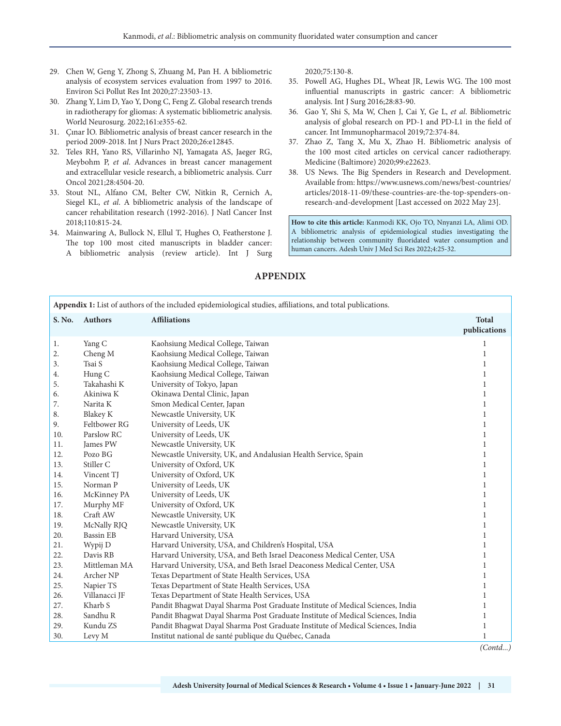- 29. Chen W, Geng Y, Zhong S, Zhuang M, Pan H. A bibliometric analysis of ecosystem services evaluation from 1997 to 2016. Environ Sci Pollut Res Int 2020;27:23503-13.
- 30. Zhang Y, Lim D, Yao Y, Dong C, Feng Z. Global research trends in radiotherapy for gliomas: A systematic bibliometric analysis. World Neurosurg. 2022;161:e355-62.
- 31. Çınar İO. Bibliometric analysis of breast cancer research in the period 2009-2018. Int J Nurs Pract 2020;26:e12845.
- 32. Teles RH, Yano RS, Villarinho NJ, Yamagata AS, Jaeger RG, Meybohm P, *et al*. Advances in breast cancer management and extracellular vesicle research, a bibliometric analysis. Curr Oncol 2021;28:4504-20.
- 33. Stout NL, Alfano CM, Belter CW, Nitkin R, Cernich A, Siegel KL, *et al*. A bibliometric analysis of the landscape of cancer rehabilitation research (1992-2016). J Natl Cancer Inst 2018;110:815-24.
- 34. Mainwaring A, Bullock N, Ellul T, Hughes O, Featherstone J. The top 100 most cited manuscripts in bladder cancer: A bibliometric analysis (review article). Int J Surg

2020;75:130-8.

- 35. Powell AG, Hughes DL, Wheat JR, Lewis WG. The 100 most influential manuscripts in gastric cancer: A bibliometric analysis. Int J Surg 2016;28:83-90.
- 36. Gao Y, Shi S, Ma W, Chen J, Cai Y, Ge L, *et al*. Bibliometric analysis of global research on PD-1 and PD-L1 in the field of cancer. Int Immunopharmacol 2019;72:374-84.
- 37. Zhao Z, Tang X, Mu X, Zhao H. Bibliometric analysis of the 100 most cited articles on cervical cancer radiotherapy. Medicine (Baltimore) 2020;99:e22623.
- 38. US News. The Big Spenders in Research and Development. Available from: https://www.usnews.com/news/best-countries/ articles/2018-11-09/these-countries-are-the-top-spenders-onresearch-and-development [Last accessed on 2022 May 23].

**How to cite this article:** Kanmodi KK, Ojo TO, Nnyanzi LA, Alimi OD. A bibliometric analysis of epidemiological studies investigating the relationship between community fluoridated water consumption and human cancers. Adesh Univ J Med Sci Res 2022;4:25-32.

| Appendix 1: List of authors of the included epidemiological studies, affiliations, and total publications. |                  |                                                                                |                              |
|------------------------------------------------------------------------------------------------------------|------------------|--------------------------------------------------------------------------------|------------------------------|
| S. No.                                                                                                     | <b>Authors</b>   | <b>Affiliations</b>                                                            | <b>Total</b><br>publications |
| 1.                                                                                                         | Yang C           | Kaohsiung Medical College, Taiwan                                              | 1                            |
| 2.                                                                                                         | Cheng M          | Kaohsiung Medical College, Taiwan                                              | 1                            |
| 3.                                                                                                         | Tsai S           | Kaohsiung Medical College, Taiwan                                              | 1                            |
| 4.                                                                                                         | Hung C           | Kaohsiung Medical College, Taiwan                                              | 1                            |
| 5.                                                                                                         | Takahashi K      | University of Tokyo, Japan                                                     | 1                            |
| 6.                                                                                                         | Akiniwa K        | Okinawa Dental Clinic, Japan                                                   | 1                            |
| 7.                                                                                                         | Narita K         | Smon Medical Center, Japan                                                     | 1                            |
| 8.                                                                                                         | <b>Blakey K</b>  | Newcastle University, UK                                                       | 1                            |
| 9.                                                                                                         | Feltbower RG     | University of Leeds, UK                                                        | 1                            |
| 10.                                                                                                        | Parslow RC       | University of Leeds, UK                                                        | 1                            |
| 11.                                                                                                        | James PW         | Newcastle University, UK                                                       | 1                            |
| 12.                                                                                                        | Pozo BG          | Newcastle University, UK, and Andalusian Health Service, Spain                 | 1                            |
| 13.                                                                                                        | Stiller C        | University of Oxford, UK                                                       | $\mathbf{1}$                 |
| 14.                                                                                                        | Vincent TJ       | University of Oxford, UK                                                       | 1                            |
| 15.                                                                                                        | Norman P         | University of Leeds, UK                                                        | 1                            |
| 16.                                                                                                        | McKinney PA      | University of Leeds, UK                                                        | 1                            |
| 17.                                                                                                        | Murphy MF        | University of Oxford, UK                                                       | 1                            |
| 18.                                                                                                        | Craft AW         | Newcastle University, UK                                                       | 1                            |
| 19.                                                                                                        | McNally RJQ      | Newcastle University, UK                                                       | 1                            |
| 20.                                                                                                        | <b>Bassin EB</b> | Harvard University, USA                                                        | 1                            |
| 21.                                                                                                        | Wypij D          | Harvard University, USA, and Children's Hospital, USA                          | 1                            |
| 22.                                                                                                        | Davis RB         | Harvard University, USA, and Beth Israel Deaconess Medical Center, USA         | 1                            |
| 23.                                                                                                        | Mittleman MA     | Harvard University, USA, and Beth Israel Deaconess Medical Center, USA         | 1                            |
| 24.                                                                                                        | Archer NP        | Texas Department of State Health Services, USA                                 | 1                            |
| 25.                                                                                                        | Napier TS        | Texas Department of State Health Services, USA                                 | 1                            |
| 26.                                                                                                        | Villanacci JF    | Texas Department of State Health Services, USA                                 | 1                            |
| 27.                                                                                                        | Kharb S          | Pandit Bhagwat Dayal Sharma Post Graduate Institute of Medical Sciences, India | 1                            |
| 28.                                                                                                        | Sandhu R         | Pandit Bhagwat Dayal Sharma Post Graduate Institute of Medical Sciences, India | 1                            |
| 29.                                                                                                        | Kundu ZS         | Pandit Bhagwat Dayal Sharma Post Graduate Institute of Medical Sciences, India | 1                            |
| 30.                                                                                                        | Levy M           | Institut national de santé publique du Québec, Canada                          | $\mathbf{1}$                 |

# **APPENDIX**